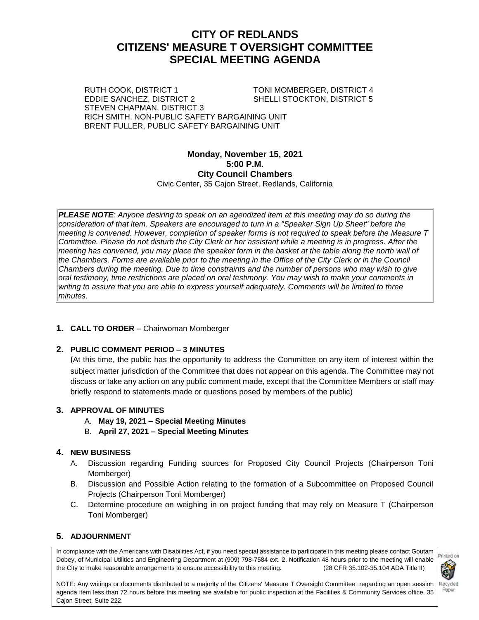## **CITY OF REDLANDS CITIZENS' MEASURE T OVERSIGHT COMMITTEE SPECIAL MEETING AGENDA**

RUTH COOK, DISTRICT 1 TONI MOMBERGER, DISTRICT 4 EDDIE SANCHEZ, DISTRICT 2 SHELLI STOCKTON, DISTRICT 5 STEVEN CHAPMAN, DISTRICT 3 RICH SMITH, NON-PUBLIC SAFETY BARGAINING UNIT BRENT FULLER, PUBLIC SAFETY BARGAINING UNIT

#### **Monday, November 15, 2021 5:00 P.M. City Council Chambers**  Civic Center, 35 Cajon Street, Redlands, California

*PLEASE NOTE: Anyone desiring to speak on an agendized item at this meeting may do so during the consideration of that item. Speakers are encouraged to turn in a "Speaker Sign Up Sheet" before the meeting is convened. However, completion of speaker forms is not required to speak before the Measure T Committee. Please do not disturb the City Clerk or her assistant while a meeting is in progress. After the meeting has convened, you may place the speaker form in the basket at the table along the north wall of the Chambers. Forms are available prior to the meeting in the Office of the City Clerk or in the Council Chambers during the meeting. Due to time constraints and the number of persons who may wish to give oral testimony, time restrictions are placed on oral testimony. You may wish to make your comments in writing to assure that you are able to express yourself adequately. Comments will be limited to three minutes.*

#### **1. CALL TO ORDER** – Chairwoman Momberger

#### **2. PUBLIC COMMENT PERIOD – 3 MINUTES**

(At this time, the public has the opportunity to address the Committee on any item of interest within the subject matter jurisdiction of the Committee that does not appear on this agenda. The Committee may not discuss or take any action on any public comment made, except that the Committee Members or staff may briefly respond to statements made or questions posed by members of the public)

#### **3. APPROVAL OF MINUTES**

- A. **May 19, 2021 – Special Meeting Minutes**
- B. **April 27, 2021 – Special Meeting Minutes**

## **4. NEW BUSINESS**

- A. Discussion regarding Funding sources for Proposed City Council Projects (Chairperson Toni Momberger)
- B. Discussion and Possible Action relating to the formation of a Subcommittee on Proposed Council Projects (Chairperson Toni Momberger)
- C. Determine procedure on weighing in on project funding that may rely on Measure T (Chairperson Toni Momberger)

## **5. ADJOURNMENT**

In compliance with the Americans with Disabilities Act, if you need special assistance to participate in this meeting please contact Goutam Dobey, of Municipal Utilities and Engineering Department at (909) 798-7584 ext. 2. Notification 48 hours prior to the meeting will enable the City to make reasonable arrangements to ensure accessibility to this meeting. (28 CFR 35.102-35.104 ADA Title II)



NOTE: Any writings or documents distributed to a majority of the Citizens' Measure T Oversight Committee regarding an open session agenda item less than 72 hours before this meeting are available for public inspection at the Facilities & Community Services office, 35 Cajon Street, Suite 222.